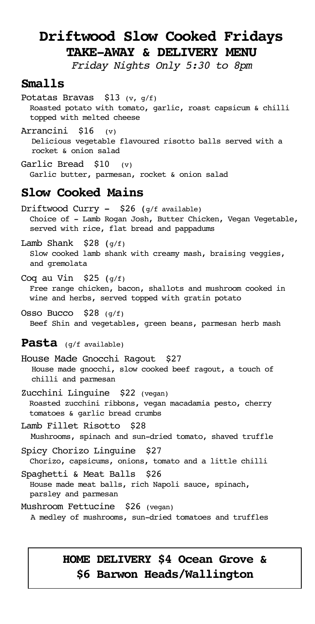# **Driftwood Slow Cooked Fridays TAKE-AWAY & DELIVERY MENU**

*Friday Nights Only 5:30 to 8pm*

### **Smalls**

Potatas Bravas \$13 (v, g/f) Roasted potato with tomato, garlic, roast capsicum & chilli topped with melted cheese

Arrancini \$16 (v) Delicious vegetable flavoured risotto balls served with a rocket & onion salad

Garlic Bread \$10 (v) Garlic butter, parmesan, rocket & onion salad

### **Slow Cooked Mains**

Driftwood Curry  $-$  \$26 ( $q/f$  available) Choice of - Lamb Rogan Josh, Butter Chicken, Vegan Vegetable, served with rice, flat bread and pappadums

Lamb Shank  $$28$  ( $q/f$ ) Slow cooked lamb shank with creamy mash, braising veggies, and gremolata

Coq au Vin  $$25 (g/f)$ 

 Free range chicken, bacon, shallots and mushroom cooked in wine and herbs, served topped with gratin potato

Osso Bucco  $$28 \ (g/f)$ Beef Shin and vegetables, green beans, parmesan herb mash

#### **Pasta** (g/f available)

House Made Gnocchi Ragout \$27 House made gnocchi, slow cooked beef ragout, a touch of chilli and parmesan

Zucchini Linguine \$22 (vegan) Roasted zucchini ribbons, vegan macadamia pesto, cherry tomatoes & garlic bread crumbs

Lamb Fillet Risotto \$28 Mushrooms, spinach and sun-dried tomato, shaved truffle

Spicy Chorizo Linguine \$27 Chorizo, capsicums, onions, tomato and a little chilli

Spaghetti & Meat Balls \$26 House made meat balls, rich Napoli sauce, spinach, parsley and parmesan

Mushroom Fettucine \$26 (vegan) A medley of mushrooms, sun-dried tomatoes and truffles

### **HOME DELIVERY \$4 Ocean Grove & \$6 Barwon Heads/Wallington**